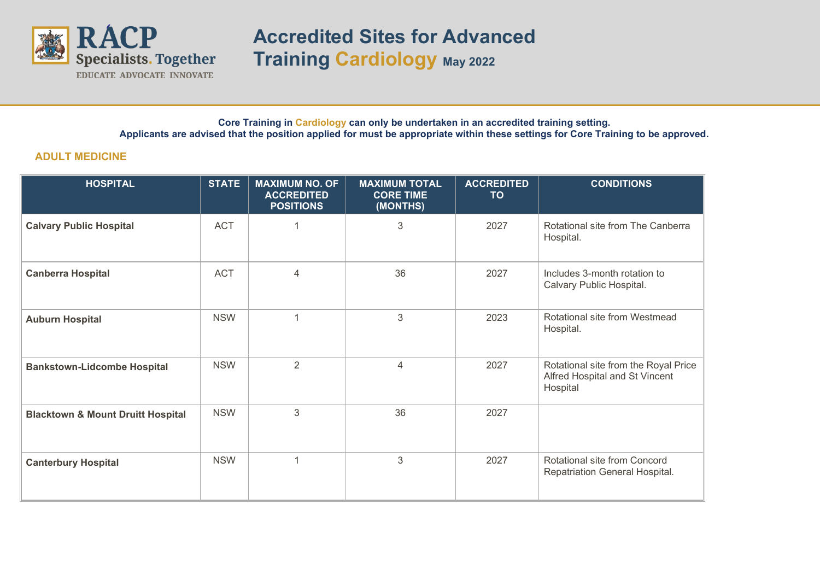

**Accredited Sites for Advanced Training Cardiology <sup>M</sup>ay<sup>2022</sup>**

## **Core Training in Cardiology can only be undertaken in an accredited training setting. Applicants are advised that the position applied for must be appropriate within these settings for Core Training to be approved.**

## **ADULT MEDICINE**

| <b>HOSPITAL</b>                              | <b>STATE</b> | <b>MAXIMUM NO. OF</b><br><b>ACCREDITED</b><br><b>POSITIONS</b> | <b>MAXIMUM TOTAL</b><br><b>CORE TIME</b><br>(MONTHS) | <b>ACCREDITED</b><br><b>TO</b> | <b>CONDITIONS</b>                                                                  |
|----------------------------------------------|--------------|----------------------------------------------------------------|------------------------------------------------------|--------------------------------|------------------------------------------------------------------------------------|
| <b>Calvary Public Hospital</b>               | <b>ACT</b>   |                                                                | 3                                                    | 2027                           | Rotational site from The Canberra<br>Hospital.                                     |
| <b>Canberra Hospital</b>                     | <b>ACT</b>   | 4                                                              | 36                                                   | 2027                           | Includes 3-month rotation to<br>Calvary Public Hospital.                           |
| <b>Auburn Hospital</b>                       | <b>NSW</b>   | 1                                                              | 3                                                    | 2023                           | Rotational site from Westmead<br>Hospital.                                         |
| <b>Bankstown-Lidcombe Hospital</b>           | <b>NSW</b>   | $\overline{2}$                                                 | 4                                                    | 2027                           | Rotational site from the Royal Price<br>Alfred Hospital and St Vincent<br>Hospital |
| <b>Blacktown &amp; Mount Druitt Hospital</b> | <b>NSW</b>   | 3                                                              | 36                                                   | 2027                           |                                                                                    |
| <b>Canterbury Hospital</b>                   | <b>NSW</b>   | $\overline{1}$                                                 | 3                                                    | 2027                           | Rotational site from Concord<br>Repatriation General Hospital.                     |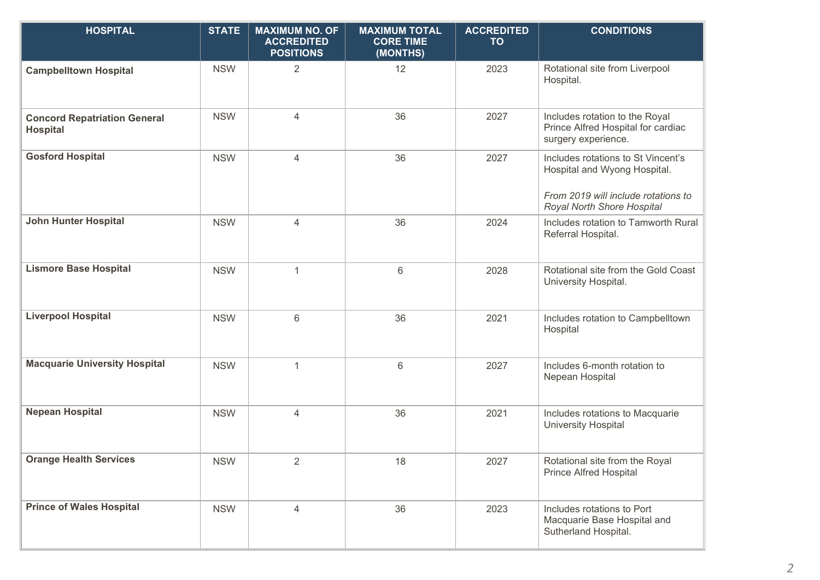| <b>HOSPITAL</b>                                        | <b>STATE</b> | <b>MAXIMUM NO. OF</b><br><b>ACCREDITED</b><br><b>POSITIONS</b> | <b>MAXIMUM TOTAL</b><br><b>CORE TIME</b><br>(MONTHS) | <b>ACCREDITED</b><br><b>TO</b> | <b>CONDITIONS</b>                                                                                                                       |
|--------------------------------------------------------|--------------|----------------------------------------------------------------|------------------------------------------------------|--------------------------------|-----------------------------------------------------------------------------------------------------------------------------------------|
| <b>Campbelltown Hospital</b>                           | <b>NSW</b>   | $\overline{2}$                                                 | 12                                                   | 2023                           | Rotational site from Liverpool<br>Hospital.                                                                                             |
| <b>Concord Repatriation General</b><br><b>Hospital</b> | <b>NSW</b>   | $\overline{4}$                                                 | 36                                                   | 2027                           | Includes rotation to the Royal<br>Prince Alfred Hospital for cardiac<br>surgery experience.                                             |
| <b>Gosford Hospital</b>                                | <b>NSW</b>   | $\overline{4}$                                                 | 36                                                   | 2027                           | Includes rotations to St Vincent's<br>Hospital and Wyong Hospital.<br>From 2019 will include rotations to<br>Royal North Shore Hospital |
| <b>John Hunter Hospital</b>                            | <b>NSW</b>   | $\overline{4}$                                                 | 36                                                   | 2024                           | Includes rotation to Tamworth Rural<br>Referral Hospital.                                                                               |
| <b>Lismore Base Hospital</b>                           | <b>NSW</b>   | $\mathbf{1}$                                                   | $6\phantom{1}6$                                      | 2028                           | Rotational site from the Gold Coast<br>University Hospital.                                                                             |
| <b>Liverpool Hospital</b>                              | <b>NSW</b>   | $6\phantom{1}$                                                 | 36                                                   | 2021                           | Includes rotation to Campbelltown<br>Hospital                                                                                           |
| <b>Macquarie University Hospital</b>                   | <b>NSW</b>   | $\mathbf{1}$                                                   | 6                                                    | 2027                           | Includes 6-month rotation to<br>Nepean Hospital                                                                                         |
| <b>Nepean Hospital</b>                                 | <b>NSW</b>   | $\overline{4}$                                                 | 36                                                   | 2021                           | Includes rotations to Macquarie<br><b>University Hospital</b>                                                                           |
| <b>Orange Health Services</b>                          | <b>NSW</b>   | $\overline{2}$                                                 | 18                                                   | 2027                           | Rotational site from the Royal<br><b>Prince Alfred Hospital</b>                                                                         |
| <b>Prince of Wales Hospital</b>                        | <b>NSW</b>   | $\overline{4}$                                                 | 36                                                   | 2023                           | Includes rotations to Port<br>Macquarie Base Hospital and<br>Sutherland Hospital.                                                       |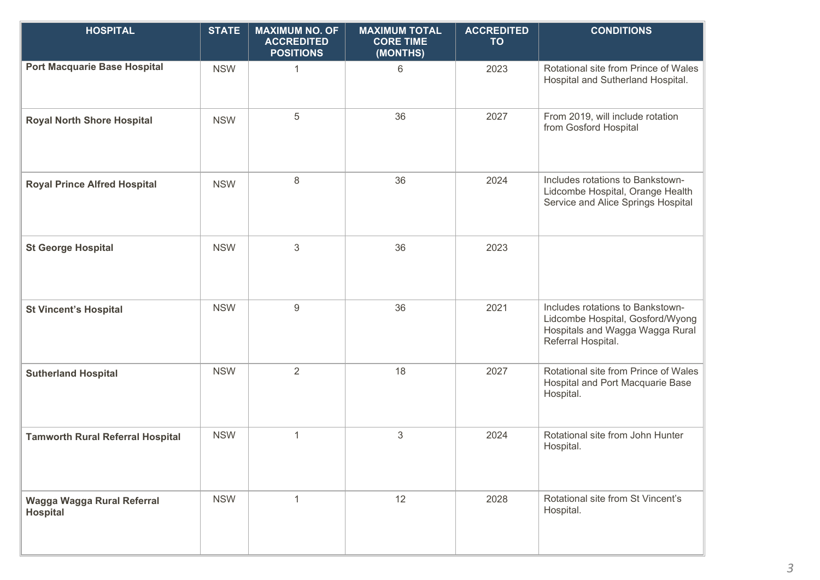| <b>HOSPITAL</b>                               | <b>STATE</b> | <b>MAXIMUM NO. OF</b><br><b>ACCREDITED</b><br><b>POSITIONS</b> | <b>MAXIMUM TOTAL</b><br><b>CORE TIME</b><br>(MONTHS) | <b>ACCREDITED</b><br><b>TO</b> | <b>CONDITIONS</b>                                                                                                             |
|-----------------------------------------------|--------------|----------------------------------------------------------------|------------------------------------------------------|--------------------------------|-------------------------------------------------------------------------------------------------------------------------------|
| <b>Port Macquarie Base Hospital</b>           | <b>NSW</b>   | 1                                                              | 6                                                    | 2023                           | Rotational site from Prince of Wales<br>Hospital and Sutherland Hospital.                                                     |
| <b>Royal North Shore Hospital</b>             | <b>NSW</b>   | 5                                                              | 36                                                   | 2027                           | From 2019, will include rotation<br>from Gosford Hospital                                                                     |
| <b>Royal Prince Alfred Hospital</b>           | <b>NSW</b>   | 8                                                              | 36                                                   | 2024                           | Includes rotations to Bankstown-<br>Lidcombe Hospital, Orange Health<br>Service and Alice Springs Hospital                    |
| <b>St George Hospital</b>                     | <b>NSW</b>   | 3                                                              | 36                                                   | 2023                           |                                                                                                                               |
| <b>St Vincent's Hospital</b>                  | <b>NSW</b>   | $\boldsymbol{9}$                                               | 36                                                   | 2021                           | Includes rotations to Bankstown-<br>Lidcombe Hospital, Gosford/Wyong<br>Hospitals and Wagga Wagga Rural<br>Referral Hospital. |
| <b>Sutherland Hospital</b>                    | <b>NSW</b>   | $\overline{2}$                                                 | 18                                                   | 2027                           | Rotational site from Prince of Wales<br>Hospital and Port Macquarie Base<br>Hospital.                                         |
| <b>Tamworth Rural Referral Hospital</b>       | <b>NSW</b>   | $\mathbf{1}$                                                   | 3                                                    | 2024                           | Rotational site from John Hunter<br>Hospital.                                                                                 |
| Wagga Wagga Rural Referral<br><b>Hospital</b> | <b>NSW</b>   | $\mathbf{1}$                                                   | 12                                                   | 2028                           | Rotational site from St Vincent's<br>Hospital.                                                                                |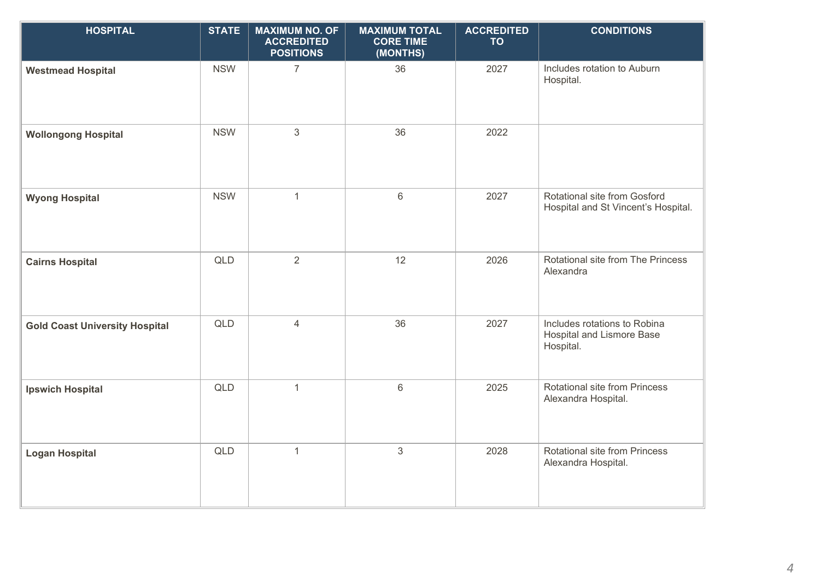| <b>HOSPITAL</b>                       | <b>STATE</b> | <b>MAXIMUM NO. OF</b><br><b>ACCREDITED</b><br><b>POSITIONS</b> | <b>MAXIMUM TOTAL</b><br><b>CORE TIME</b><br>(MONTHS) | <b>ACCREDITED</b><br><b>TO</b> | <b>CONDITIONS</b>                                                             |
|---------------------------------------|--------------|----------------------------------------------------------------|------------------------------------------------------|--------------------------------|-------------------------------------------------------------------------------|
| <b>Westmead Hospital</b>              | <b>NSW</b>   | $\overline{7}$                                                 | 36                                                   | 2027                           | Includes rotation to Auburn<br>Hospital.                                      |
| <b>Wollongong Hospital</b>            | <b>NSW</b>   | $\mathfrak{S}$                                                 | 36                                                   | 2022                           |                                                                               |
| <b>Wyong Hospital</b>                 | <b>NSW</b>   | $\mathbf{1}$                                                   | $6\,$                                                | 2027                           | Rotational site from Gosford<br>Hospital and St Vincent's Hospital.           |
| <b>Cairns Hospital</b>                | <b>QLD</b>   | $\overline{2}$                                                 | 12                                                   | 2026                           | Rotational site from The Princess<br>Alexandra                                |
| <b>Gold Coast University Hospital</b> | QLD          | $\overline{4}$                                                 | 36                                                   | 2027                           | Includes rotations to Robina<br><b>Hospital and Lismore Base</b><br>Hospital. |
| <b>Ipswich Hospital</b>               | QLD          | $\mathbf{1}$                                                   | $\,6\,$                                              | 2025                           | Rotational site from Princess<br>Alexandra Hospital.                          |
| <b>Logan Hospital</b>                 | QLD          | $\mathbf{1}$                                                   | $\sqrt{3}$                                           | 2028                           | Rotational site from Princess<br>Alexandra Hospital.                          |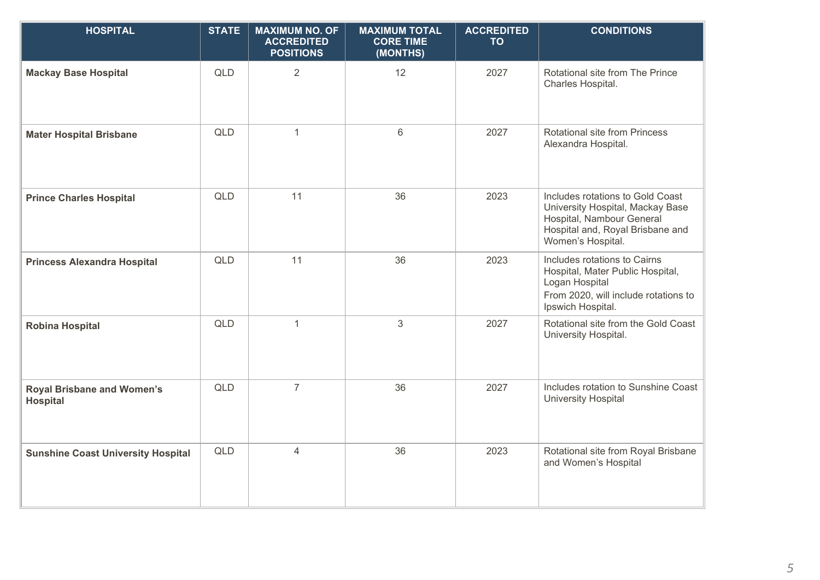| <b>HOSPITAL</b>                                      | <b>STATE</b> | <b>MAXIMUM NO. OF</b><br><b>ACCREDITED</b><br><b>POSITIONS</b> | <b>MAXIMUM TOTAL</b><br><b>CORE TIME</b><br>(MONTHS) | <b>ACCREDITED</b><br><b>TO</b> | <b>CONDITIONS</b>                                                                                                                                          |
|------------------------------------------------------|--------------|----------------------------------------------------------------|------------------------------------------------------|--------------------------------|------------------------------------------------------------------------------------------------------------------------------------------------------------|
| <b>Mackay Base Hospital</b>                          | <b>QLD</b>   | $\overline{2}$                                                 | 12                                                   | 2027                           | Rotational site from The Prince<br>Charles Hospital.                                                                                                       |
| <b>Mater Hospital Brisbane</b>                       | QLD          | $\mathbf{1}$                                                   | $6\phantom{1}$                                       | 2027                           | Rotational site from Princess<br>Alexandra Hospital.                                                                                                       |
| <b>Prince Charles Hospital</b>                       | QLD          | 11                                                             | 36                                                   | 2023                           | Includes rotations to Gold Coast<br>University Hospital, Mackay Base<br>Hospital, Nambour General<br>Hospital and, Royal Brisbane and<br>Women's Hospital. |
| <b>Princess Alexandra Hospital</b>                   | <b>QLD</b>   | 11                                                             | 36                                                   | 2023                           | Includes rotations to Cairns<br>Hospital, Mater Public Hospital,<br>Logan Hospital<br>From 2020, will include rotations to<br>Ipswich Hospital.            |
| <b>Robina Hospital</b>                               | <b>QLD</b>   | $\mathbf{1}$                                                   | 3                                                    | 2027                           | Rotational site from the Gold Coast<br>University Hospital.                                                                                                |
| <b>Royal Brisbane and Women's</b><br><b>Hospital</b> | <b>QLD</b>   | $\overline{7}$                                                 | 36                                                   | 2027                           | Includes rotation to Sunshine Coast<br><b>University Hospital</b>                                                                                          |
| <b>Sunshine Coast University Hospital</b>            | <b>QLD</b>   | $\overline{4}$                                                 | 36                                                   | 2023                           | Rotational site from Royal Brisbane<br>and Women's Hospital                                                                                                |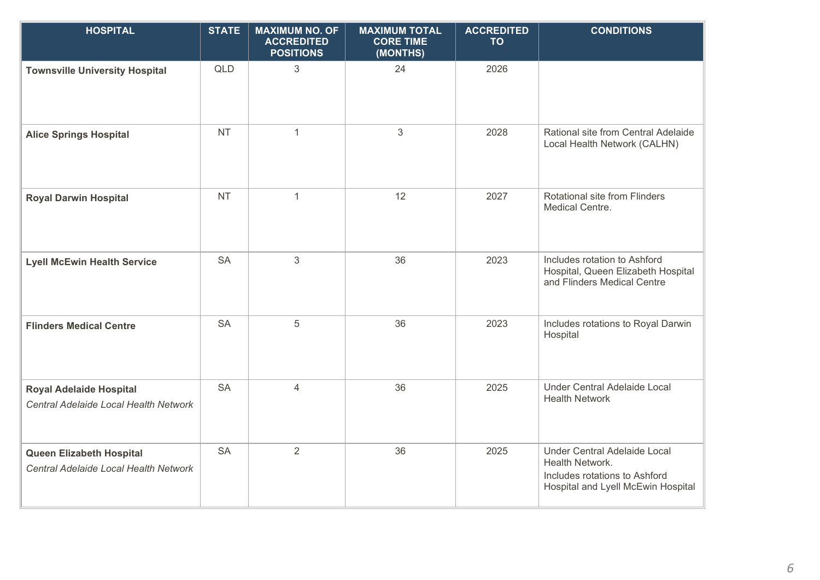| <b>HOSPITAL</b>                                                          | <b>STATE</b> | <b>MAXIMUM NO. OF</b><br><b>ACCREDITED</b><br><b>POSITIONS</b> | <b>MAXIMUM TOTAL</b><br><b>CORE TIME</b><br>(MONTHS) | <b>ACCREDITED</b><br><b>TO</b> | <b>CONDITIONS</b>                                                                                                      |
|--------------------------------------------------------------------------|--------------|----------------------------------------------------------------|------------------------------------------------------|--------------------------------|------------------------------------------------------------------------------------------------------------------------|
| <b>Townsville University Hospital</b>                                    | <b>QLD</b>   | 3                                                              | 24                                                   | 2026                           |                                                                                                                        |
| <b>Alice Springs Hospital</b>                                            | <b>NT</b>    | $\mathbf{1}$                                                   | 3                                                    | 2028                           | Rational site from Central Adelaide<br>Local Health Network (CALHN)                                                    |
| <b>Royal Darwin Hospital</b>                                             | <b>NT</b>    | $\mathbf{1}$                                                   | 12                                                   | 2027                           | Rotational site from Flinders<br>Medical Centre.                                                                       |
| <b>Lyell McEwin Health Service</b>                                       | <b>SA</b>    | 3                                                              | 36                                                   | 2023                           | Includes rotation to Ashford<br>Hospital, Queen Elizabeth Hospital<br>and Flinders Medical Centre                      |
| <b>Flinders Medical Centre</b>                                           | <b>SA</b>    | 5                                                              | 36                                                   | 2023                           | Includes rotations to Royal Darwin<br>Hospital                                                                         |
| <b>Royal Adelaide Hospital</b><br>Central Adelaide Local Health Network  | <b>SA</b>    | $\overline{4}$                                                 | 36                                                   | 2025                           | Under Central Adelaide Local<br><b>Health Network</b>                                                                  |
| <b>Queen Elizabeth Hospital</b><br>Central Adelaide Local Health Network | <b>SA</b>    | $\overline{2}$                                                 | 36                                                   | 2025                           | Under Central Adelaide Local<br>Health Network.<br>Includes rotations to Ashford<br>Hospital and Lyell McEwin Hospital |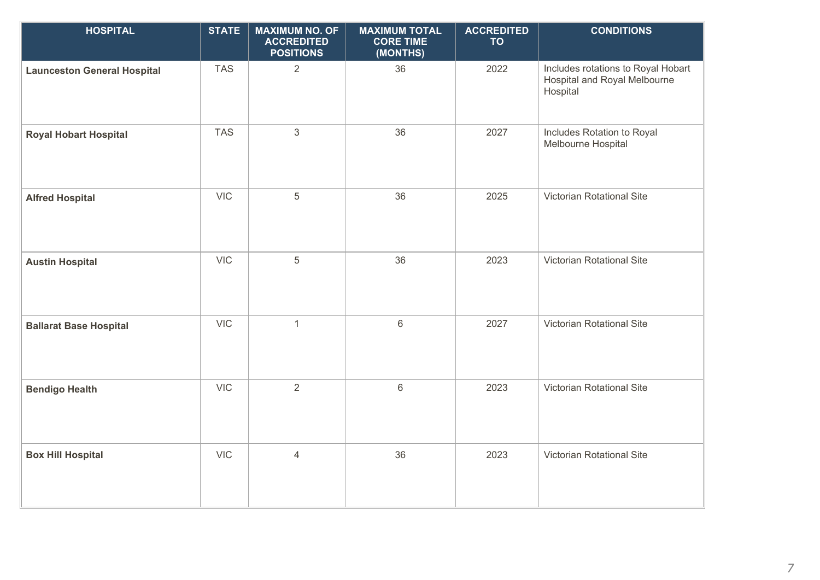| <b>HOSPITAL</b>                    | <b>STATE</b> | <b>MAXIMUM NO. OF</b><br><b>ACCREDITED</b><br><b>POSITIONS</b> | <b>MAXIMUM TOTAL</b><br><b>CORE TIME</b><br>(MONTHS) | <b>ACCREDITED</b><br><b>TO</b> | <b>CONDITIONS</b>                                                              |
|------------------------------------|--------------|----------------------------------------------------------------|------------------------------------------------------|--------------------------------|--------------------------------------------------------------------------------|
| <b>Launceston General Hospital</b> | <b>TAS</b>   | $\overline{2}$                                                 | 36                                                   | 2022                           | Includes rotations to Royal Hobart<br>Hospital and Royal Melbourne<br>Hospital |
| <b>Royal Hobart Hospital</b>       | <b>TAS</b>   | 3                                                              | 36                                                   | 2027                           | Includes Rotation to Royal<br>Melbourne Hospital                               |
| <b>Alfred Hospital</b>             | <b>VIC</b>   | 5                                                              | 36                                                   | 2025                           | Victorian Rotational Site                                                      |
| <b>Austin Hospital</b>             | <b>VIC</b>   | 5                                                              | 36                                                   | 2023                           | Victorian Rotational Site                                                      |
| <b>Ballarat Base Hospital</b>      | <b>VIC</b>   | $\mathbf{1}$                                                   | $\,6\,$                                              | 2027                           | Victorian Rotational Site                                                      |
| <b>Bendigo Health</b>              | <b>VIC</b>   | $\overline{2}$                                                 | $\,6\,$                                              | 2023                           | Victorian Rotational Site                                                      |
| <b>Box Hill Hospital</b>           | <b>VIC</b>   | $\overline{4}$                                                 | 36                                                   | 2023                           | Victorian Rotational Site                                                      |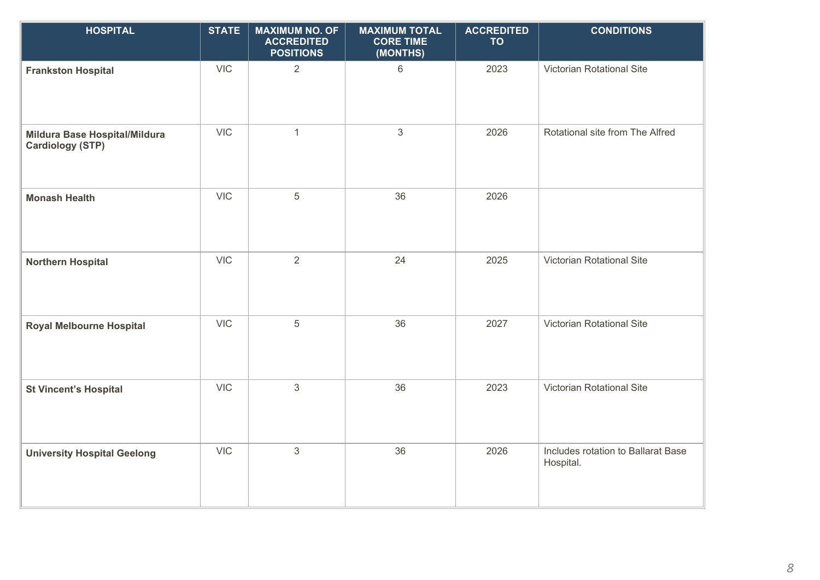| <b>HOSPITAL</b>                                          | <b>STATE</b> | <b>MAXIMUM NO. OF</b><br><b>ACCREDITED</b><br><b>POSITIONS</b> | <b>MAXIMUM TOTAL</b><br><b>CORE TIME</b><br>(MONTHS) | <b>ACCREDITED</b><br><b>TO</b> | <b>CONDITIONS</b>                               |
|----------------------------------------------------------|--------------|----------------------------------------------------------------|------------------------------------------------------|--------------------------------|-------------------------------------------------|
| <b>Frankston Hospital</b>                                | <b>VIC</b>   | $\overline{2}$                                                 | $6\,$                                                | 2023                           | Victorian Rotational Site                       |
| Mildura Base Hospital/Mildura<br><b>Cardiology (STP)</b> | <b>VIC</b>   | $\mathbf{1}$                                                   | $\mathbf{3}$                                         | 2026                           | Rotational site from The Alfred                 |
| <b>Monash Health</b>                                     | <b>VIC</b>   | $\sqrt{5}$                                                     | 36                                                   | 2026                           |                                                 |
| <b>Northern Hospital</b>                                 | <b>VIC</b>   | 2                                                              | 24                                                   | 2025                           | Victorian Rotational Site                       |
| <b>Royal Melbourne Hospital</b>                          | <b>VIC</b>   | $\overline{5}$                                                 | 36                                                   | 2027                           | Victorian Rotational Site                       |
| <b>St Vincent's Hospital</b>                             | <b>VIC</b>   | $\sqrt{3}$                                                     | 36                                                   | 2023                           | Victorian Rotational Site                       |
| <b>University Hospital Geelong</b>                       | <b>VIC</b>   | $\mathfrak{Z}$                                                 | 36                                                   | 2026                           | Includes rotation to Ballarat Base<br>Hospital. |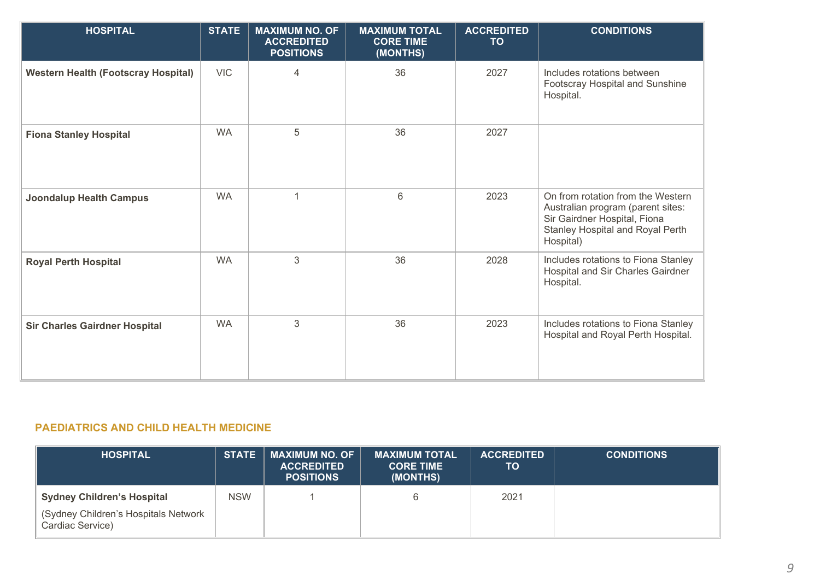| <b>HOSPITAL</b>                            | <b>STATE</b> | <b>MAXIMUM NO. OF</b><br><b>ACCREDITED</b><br><b>POSITIONS</b> | <b>MAXIMUM TOTAL</b><br><b>CORE TIME</b><br>(MONTHS) | <b>ACCREDITED</b><br><b>TO</b> | <b>CONDITIONS</b>                                                                                                                                       |
|--------------------------------------------|--------------|----------------------------------------------------------------|------------------------------------------------------|--------------------------------|---------------------------------------------------------------------------------------------------------------------------------------------------------|
| <b>Western Health (Footscray Hospital)</b> | <b>VIC</b>   | 4                                                              | 36                                                   | 2027                           | Includes rotations between<br>Footscray Hospital and Sunshine<br>Hospital.                                                                              |
| <b>Fiona Stanley Hospital</b>              | <b>WA</b>    | 5                                                              | 36                                                   | 2027                           |                                                                                                                                                         |
| <b>Joondalup Health Campus</b>             | <b>WA</b>    | $\overline{1}$                                                 | 6                                                    | 2023                           | On from rotation from the Western<br>Australian program (parent sites:<br>Sir Gairdner Hospital, Fiona<br>Stanley Hospital and Royal Perth<br>Hospital) |
| <b>Royal Perth Hospital</b>                | <b>WA</b>    | $\mathfrak{S}$                                                 | 36                                                   | 2028                           | Includes rotations to Fiona Stanley<br>Hospital and Sir Charles Gairdner<br>Hospital.                                                                   |
| <b>Sir Charles Gairdner Hospital</b>       | <b>WA</b>    | $\mathfrak{S}$                                                 | 36                                                   | 2023                           | Includes rotations to Fiona Stanley<br>Hospital and Royal Perth Hospital.                                                                               |

## **PAEDIATRICS AND CHILD HEALTH MEDICINE**

| <b>HOSPITAL</b>                                          | <b>STATE</b> | MAXIMUM NO. OF<br><b>ACCREDITED</b><br><b>POSITIONS</b> | <b>MAXIMUM TOTAL</b><br><b>CORE TIME</b><br>(MONTHS) | <b>ACCREDITED</b><br>TO | <b>CONDITIONS</b> |
|----------------------------------------------------------|--------------|---------------------------------------------------------|------------------------------------------------------|-------------------------|-------------------|
| <b>Sydney Children's Hospital</b>                        | <b>NSW</b>   |                                                         |                                                      | 2021                    |                   |
| (Sydney Children's Hospitals Network<br>Cardiac Service) |              |                                                         |                                                      |                         |                   |